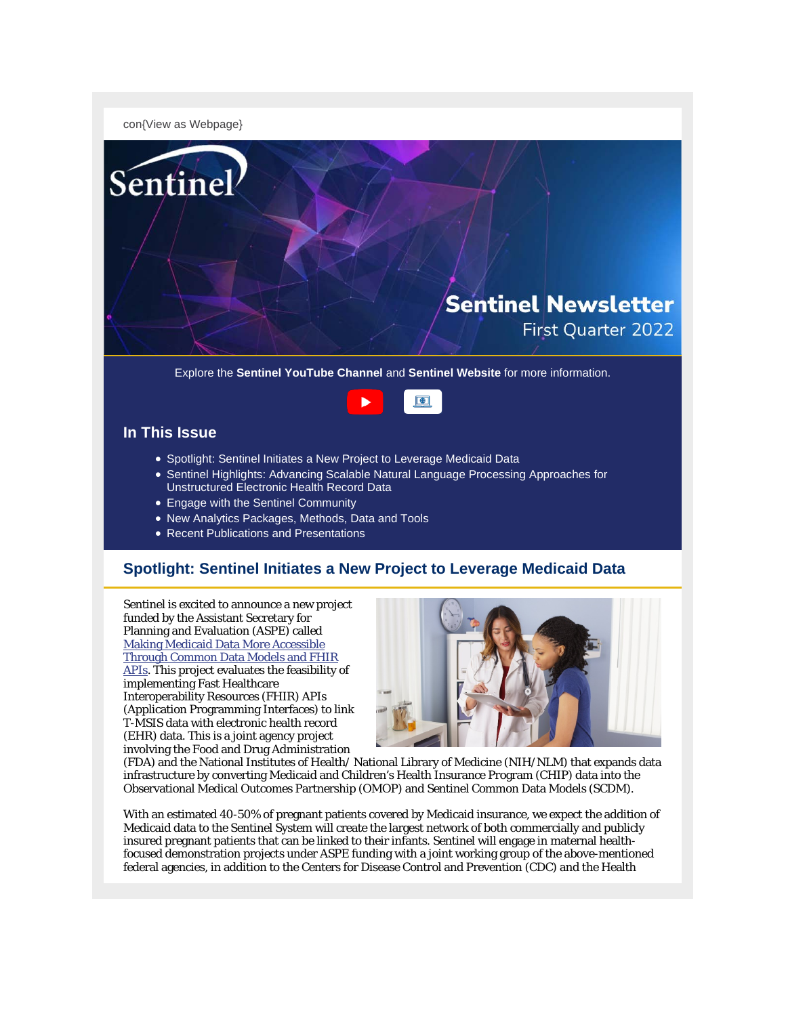con{View as Webpage}



Explore the **Sentinel YouTube Channel** and **Sentinel Website** for more information.



## **In This Issue**

- Spotlight: Sentinel Initiates a New Project to Leverage Medicaid Data
- Sentinel Highlights: Advancing Scalable Natural Language Processing Approaches for Unstructured Electronic Health Record Data
- Engage with the Sentinel Community
- New Analytics Packages, Methods, Data and Tools
- Recent Publications and Presentations

## **Spotlight: Sentinel Initiates a New Project to Leverage Medicaid Data**

Sentinel is excited to announce a new project funded by the Assistant Secretary for Planning and Evaluation (ASPE) called [Making Medicaid Data More Accessible](https://aspe.hhs.gov/making-medicaid-data-more-accessible-through-common-data-models-fhir-apis)  [Through Common Data Models and FHIR](https://aspe.hhs.gov/making-medicaid-data-more-accessible-through-common-data-models-fhir-apis)  [APIs.](https://aspe.hhs.gov/making-medicaid-data-more-accessible-through-common-data-models-fhir-apis) This project evaluates the feasibility of implementing Fast Healthcare Interoperability Resources (FHIR) APIs (Application Programming Interfaces) to link T-MSIS data with electronic health record (EHR) data. This is a joint agency project involving the Food and Drug Administration



(FDA) and the National Institutes of Health/ National Library of Medicine (NIH/NLM) that expands data infrastructure by converting Medicaid and Children's Health Insurance Program (CHIP) data into the Observational Medical Outcomes Partnership (OMOP) and Sentinel Common Data Models (SCDM).

With an estimated 40-50% of pregnant patients covered by Medicaid insurance, we expect the addition of Medicaid data to the Sentinel System will create the largest network of both commercially and publicly insured pregnant patients that can be linked to their infants. Sentinel will engage in maternal healthfocused demonstration projects under ASPE funding with a joint working group of the above-mentioned federal agencies, in addition to the Centers for Disease Control and Prevention (CDC) and the Health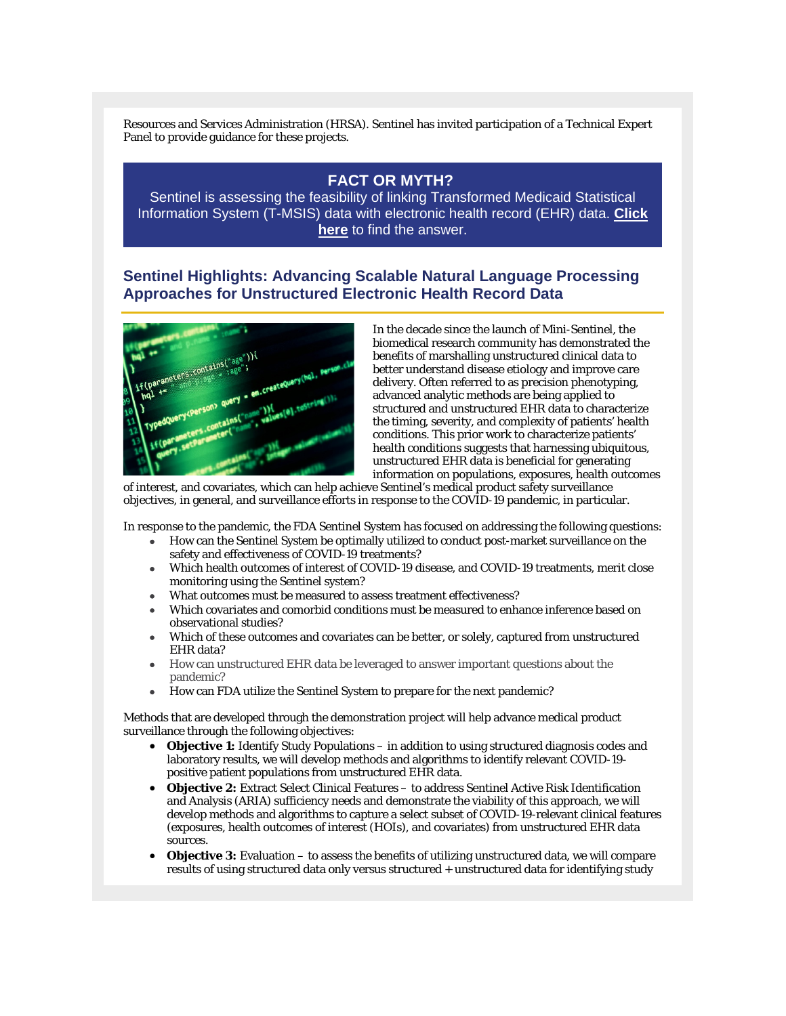Resources and Services Administration (HRSA). Sentinel has invited participation of a Technical Expert Panel to provide guidance for these projects.

# **[FACT OR MYTH?](https://www.sentinelinitiative.org/methods-data-tools/software-packages-toolkits/making-medicaid-data-more-accessible-through-common)**

[Sentinel is assessing the feasibility of linking Transformed Medicaid Statistical](https://www.sentinelinitiative.org/methods-data-tools/software-packages-toolkits/making-medicaid-data-more-accessible-through-common)  [Information System \(T-MSIS\) data with electronic health record \(EHR\) data.](https://www.sentinelinitiative.org/methods-data-tools/software-packages-toolkits/making-medicaid-data-more-accessible-through-common) **Click here** [to find the answer.](https://www.sentinelinitiative.org/methods-data-tools/software-packages-toolkits/making-medicaid-data-more-accessible-through-common)

## **Sentinel Highlights: Advancing Scalable Natural Language Processing Approaches for Unstructured Electronic Health Record Data**



In the decade since the launch of Mini-Sentinel, the biomedical research community has demonstrated the benefits of marshalling unstructured clinical data to better understand disease etiology and improve care delivery. Often referred to as precision phenotyping, advanced analytic methods are being applied to structured and unstructured EHR data to characterize the timing, severity, and complexity of patients' health conditions. This prior work to characterize patients' health conditions suggests that harnessing ubiquitous, unstructured EHR data is beneficial for generating information on populations, exposures, health outcomes

of interest, and covariates, which can help achieve Sentinel's medical product safety surveillance objectives, in general, and surveillance efforts in response to the COVID-19 pandemic, in particular.

In response to the pandemic, the FDA Sentinel System has focused on addressing the following questions:

- How can the Sentinel System be optimally utilized to conduct post-market surveillance on the safety and effectiveness of COVID-19 treatments?
- Which health outcomes of interest of COVID-19 disease, and COVID-19 treatments, merit close monitoring using the Sentinel system?
- What outcomes must be measured to assess treatment effectiveness?
- Which covariates and comorbid conditions must be measured to enhance inference based on observational studies?
- Which of these outcomes and covariates can be better, or solely, captured from unstructured EHR data?
- How can unstructured EHR data be leveraged to answer important questions about the pandemic?
- How can FDA utilize the Sentinel System to prepare for the next pandemic?

Methods that are developed through the demonstration project will help advance medical product surveillance through the following objectives:

- **Objective 1:** Identify Study Populations in addition to using structured diagnosis codes and laboratory results, we will develop methods and algorithms to identify relevant COVID-19 positive patient populations from unstructured EHR data.
- **Objective 2:** Extract Select Clinical Features to address Sentinel Active Risk Identification and Analysis (ARIA) sufficiency needs and demonstrate the viability of this approach, we will develop methods and algorithms to capture a select subset of COVID-19-relevant clinical features (exposures, health outcomes of interest (HOIs), and covariates) from unstructured EHR data sources.
- **Objective 3:** Evaluation to assess the benefits of utilizing unstructured data, we will compare results of using structured data only versus structured + unstructured data for identifying study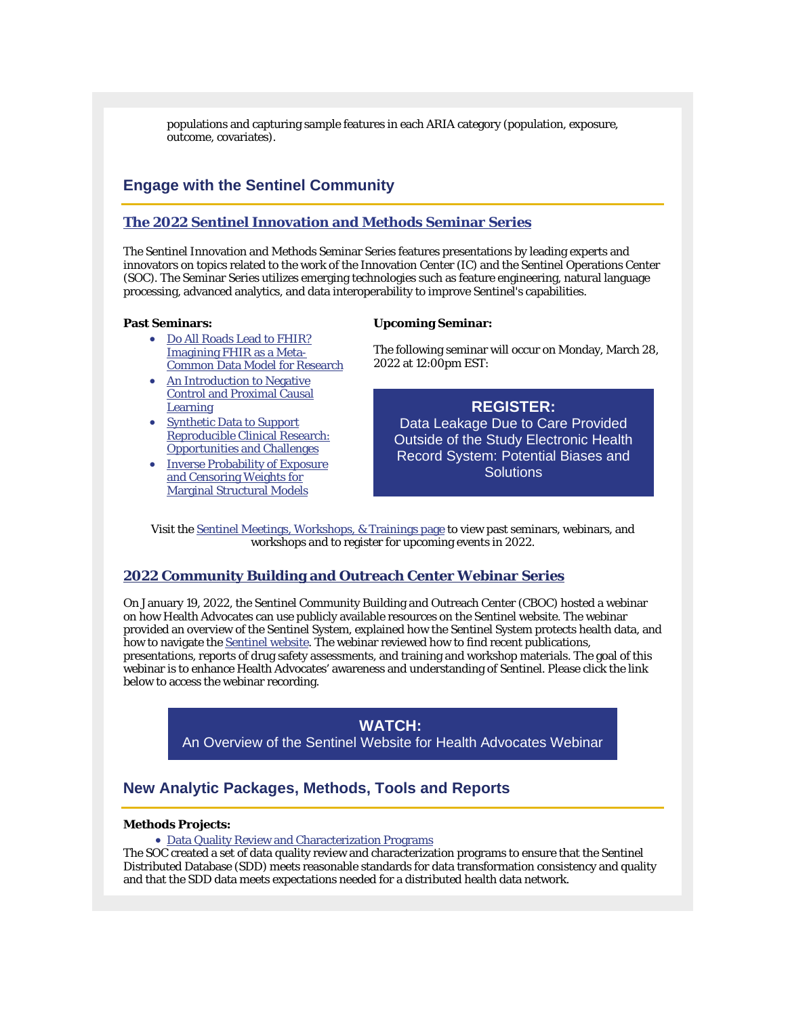populations and capturing sample features in each ARIA category (population, exposure, outcome, covariates).

## **Engage with the Sentinel Community**

### **[The 2022 Sentinel Innovation and Methods Seminar Series](https://www.sentinelinitiative.org/news-events/meetings-workshops-trainings/2022-sentinel-innovation-and-methods-seminar-series)**

The Sentinel Innovation and Methods Seminar Series features presentations by leading experts and innovators on topics related to the work of the Innovation Center (IC) and the Sentinel Operations Center (SOC). The Seminar Series utilizes emerging technologies such as feature engineering, natural language processing, advanced analytics, and data interoperability to improve Sentinel's capabilities.

#### **Past Seminars:**

#### **Upcoming Seminar:**

- [Do All Roads Lead to FHIR?](https://www.sentinelinitiative.org/news-events/meetings-workshops-trainings/do-all-roads-lead-fhir-imagining-fhir-meta-common-data)  [Imagining FHIR as a Meta-](https://www.sentinelinitiative.org/news-events/meetings-workshops-trainings/do-all-roads-lead-fhir-imagining-fhir-meta-common-data)[Common Data Model for Research](https://www.sentinelinitiative.org/news-events/meetings-workshops-trainings/do-all-roads-lead-fhir-imagining-fhir-meta-common-data)
- An Introduction to Negative [Control and Proximal Causal](https://www.sentinelinitiative.org/news-events/meetings-workshops-trainings/introduction-negative-control-and-proximal-causal-learning)  **[Learning](https://www.sentinelinitiative.org/news-events/meetings-workshops-trainings/introduction-negative-control-and-proximal-causal-learning)**
- [Synthetic Data to Support](https://www.sentinelinitiative.org/news-events/meetings-workshops-trainings/synthetic-data-support-reproducible-clinical-research)  [Reproducible Clinical Research:](https://www.sentinelinitiative.org/news-events/meetings-workshops-trainings/synthetic-data-support-reproducible-clinical-research)  [Opportunities and Challenges](https://www.sentinelinitiative.org/news-events/meetings-workshops-trainings/synthetic-data-support-reproducible-clinical-research)
- [Inverse Probability of Exposure](https://www.sentinelinitiative.org/news-events/meetings-workshops-trainings/inverse-probability-exposure-and-censoring-weights)  [and Censoring Weights for](https://www.sentinelinitiative.org/news-events/meetings-workshops-trainings/inverse-probability-exposure-and-censoring-weights)  [Marginal Structural Models](https://www.sentinelinitiative.org/news-events/meetings-workshops-trainings/inverse-probability-exposure-and-censoring-weights)

The following seminar will occur on Monday, March 28, 2022 at 12:00pm EST:

### **[REGISTER:](https://partners.zoom.us/webinar/register/WN_hWAOqbxKRt-8DR-lkmD3Og)**

[Data Leakage Due to Care Provided](https://partners.zoom.us/webinar/register/WN_hWAOqbxKRt-8DR-lkmD3Og)  [Outside of the Study Electronic Health](https://partners.zoom.us/webinar/register/WN_hWAOqbxKRt-8DR-lkmD3Og)  [Record System: Potential Biases and](https://partners.zoom.us/webinar/register/WN_hWAOqbxKRt-8DR-lkmD3Og)  **[Solutions](https://partners.zoom.us/webinar/register/WN_hWAOqbxKRt-8DR-lkmD3Og)** 

Visit the [Sentinel Meetings, Workshops, & Trainings page](https://www.sentinelinitiative.org/news-events/meetings-workshops-trainings) to view past seminars, webinars, and workshops and to register for upcoming events in 2022.

### **[2022 Community Building and Outreach Center Webinar Series](https://www.sentinelinitiative.org/news-events/meetings-workshops-trainings/2022-sentinel-community-building-and-outreach-center)**

On January 19, 2022, the Sentinel Community Building and Outreach Center (CBOC) hosted a webinar on how Health Advocates can use publicly available resources on the Sentinel website. The webinar provided an overview of the Sentinel System, explained how the Sentinel System protects health data, and how to navigate the **Sentinel website**. The webinar reviewed how to find recent publications, presentations, reports of drug safety assessments, and training and workshop materials. The goal of this webinar is to enhance Health Advocates' awareness and understanding of Sentinel. Please click the link below to access the webinar recording.

> **[WATCH:](https://www.youtube.com/watch?v=KpO-0dR1VQY)** An Overview of the Sentinel [Website for Health Advocates Webinar](https://www.youtube.com/watch?v=KpO-0dR1VQY)

# **New Analytic Packages, Methods, Tools and Reports**

### **Methods Projects:**

#### • [Data Quality Review and Characterization Programs](https://www.sentinelinitiative.org/methods-data-tools/sentinel-common-data-model/data-quality-review-and-characterization-programs)

The SOC created a set of data quality review and characterization programs to ensure that the Sentinel Distributed Database (SDD) meets reasonable standards for data transformation consistency and quality and that the SDD data meets expectations needed for a distributed health data network.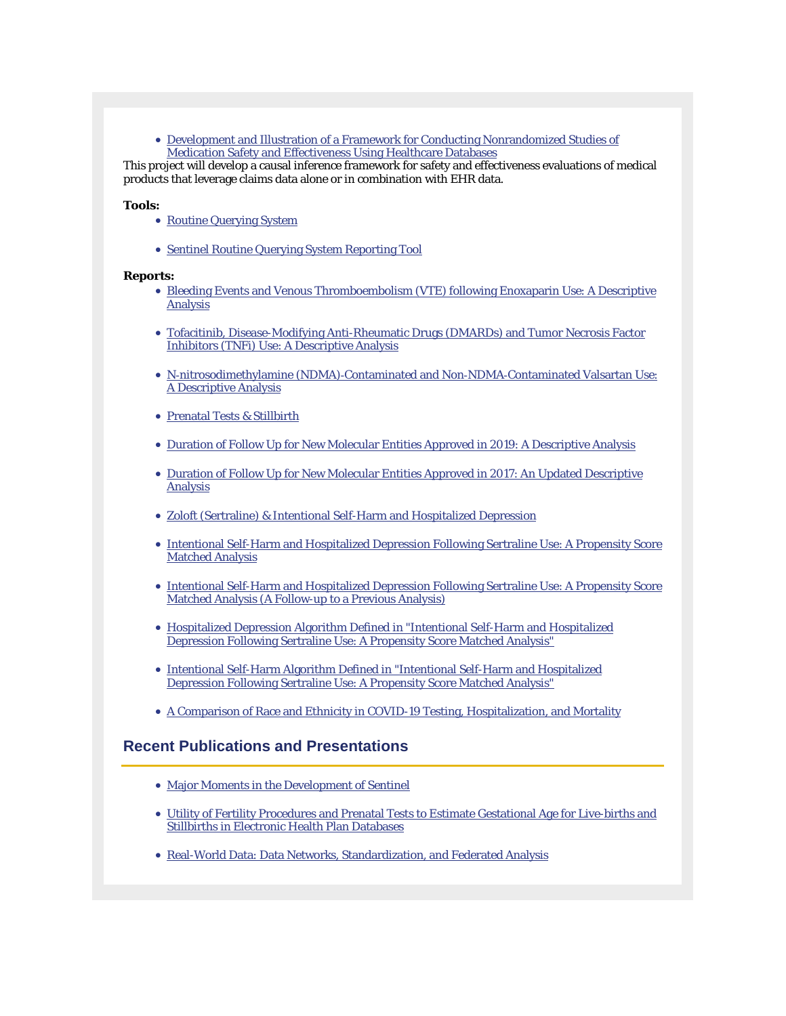• [Development and Illustration of a Framework for Conducting Nonrandomized Studies of](https://www.sentinelinitiative.org/methods-data-tools/methods/development-and-illustration-framework-conducting-nonrandomized-studies) [Medication Safety and Effectiveness Using Healthcare Databases](https://www.sentinelinitiative.org/methods-data-tools/methods/development-and-illustration-framework-conducting-nonrandomized-studies)

This project will develop a causal inference framework for safety and effectiveness evaluations of medical products that leverage claims data alone or in combination with EHR data.

#### **Tools:**

- [Routine Querying System](http://sentinelinitiative.org/methods-data-tools/routine-querying-tools/routine-querying-system)
- [Sentinel Routine Querying System Reporting Tool](https://www.sentinelinitiative.org/methods-data-tools/routine-querying-tools/sentinel-routine-querying-system-reporting-tool)

#### **Reports:**

- [Bleeding Events and Venous Thromboembolism \(VTE\) following Enoxaparin Use: A Descriptive](https://www.sentinelinitiative.org/studies/drugs/individual-drug-queries/bleeding-events-and-venous-thromboembolism-vte-following)  [Analysis](https://www.sentinelinitiative.org/studies/drugs/individual-drug-queries/bleeding-events-and-venous-thromboembolism-vte-following)
- [Tofacitinib, Disease-Modifying Anti-Rheumatic Drugs \(DMARDs\) and Tumor Necrosis Factor](https://www.sentinelinitiative.org/studies/drugs/individual-drug-queries/tofacitinib-disease-modifying-anti-rheumatic-drugs-dmards-and)  [Inhibitors \(TNFi\) Use: A Descriptive Analysis](https://www.sentinelinitiative.org/studies/drugs/individual-drug-queries/tofacitinib-disease-modifying-anti-rheumatic-drugs-dmards-and)
- N‐[nitrosodimethylamine \(NDMA\)](https://www.sentinelinitiative.org/studies/drugs/individual-drug-queries/n-nitrosodimethylamine-ndma-contaminated-and-non-ndma)‐Contaminated and Non‐NDMA‐Contaminated Valsartan Use: [A Descriptive Analysis](https://www.sentinelinitiative.org/studies/drugs/individual-drug-queries/n-nitrosodimethylamine-ndma-contaminated-and-non-ndma)
- [Prenatal Tests & Stillbirth](https://www.sentinelinitiative.org/studies/drugs/prenatal-tests)
- [Duration of Follow Up for New Molecular Entities Approved in 2019: A Descriptive Analysis](https://www.sentinelinitiative.org/assessments/drugs/individual-drug-queries/duration-follow-new-molecular-entities-approved-2019)
- [Duration of Follow Up for New Molecular Entities Approved in 2017: An Updated Descriptive](https://www.sentinelinitiative.org/assessments/drugs/individual-drug-queries/duration-follow-new-molecular-entities-approved-2017-0)  [Analysis](https://www.sentinelinitiative.org/assessments/drugs/individual-drug-queries/duration-follow-new-molecular-entities-approved-2017-0)
- [Zoloft \(Sertraline\) & Intentional Self-Harm and Hospitalized Depression](https://www.sentinelinitiative.org/assessments/drugs/zoloft-sertraline-0)
- [Intentional Self-Harm and Hospitalized Depression Following Sertraline Use: A Propensity Score](https://www.sentinelinitiative.org/assessments/drugs/individual-drug-queries/intentional-self-harm-and-hospitalized-depression)  [Matched Analysis](https://www.sentinelinitiative.org/assessments/drugs/individual-drug-queries/intentional-self-harm-and-hospitalized-depression)
- [Intentional Self-Harm and Hospitalized Depression Following Sertraline Use: A Propensity Score](https://www.sentinelinitiative.org/assessments/drugs/individual-drug-queries/intentional-self-harm-and-hospitalized-depression-0)  [Matched Analysis \(A Follow-up to a Previous Analysis\)](https://www.sentinelinitiative.org/assessments/drugs/individual-drug-queries/intentional-self-harm-and-hospitalized-depression-0)
- [Hospitalized Depression Algorithm Defined in "Intentional Self-Harm and Hospitalized](https://www.sentinelinitiative.org/methods-data-tools/health-outcomes-interest/hospitalized-depression-algorithm-defined-intentional)  [Depression Following Sertraline Use: A Propensity Score Matched Analysis"](https://www.sentinelinitiative.org/methods-data-tools/health-outcomes-interest/hospitalized-depression-algorithm-defined-intentional)
- [Intentional Self-Harm Algorithm Defined in "Intentional Self-Harm and Hospitalized](https://www.sentinelinitiative.org/methods-data-tools/health-outcomes-interest/intentional-self-harm-algorithm-defined-intentional)  [Depression Following Sertraline Use: A Propensity Score Matched Analysis"](https://www.sentinelinitiative.org/methods-data-tools/health-outcomes-interest/intentional-self-harm-algorithm-defined-intentional)
- [A Comparison of Race and Ethnicity in COVID-19 Testing, Hospitalization, and Mortality](https://www.sentinelinitiative.org/assessments/drugs/individual-drug-queries/comparison-race-and-ethnicity-covid-19-testing)

### **Recent Publications and Presentations**

- [Major Moments in the Development of Sentinel](https://www.youtube.com/watch?v=tsvaZ3cCSN8&t=1s)
- [Utility of Fertility Procedures and Prenatal Tests to Estimate Gestational Age for Live-births and](https://www.sentinelinitiative.org/news-events/publications-presentations/utility-fertility-procedures-and-prenatal-tests-estimate-0)  [Stillbirths in Electronic Health Plan Databases](https://www.sentinelinitiative.org/news-events/publications-presentations/utility-fertility-procedures-and-prenatal-tests-estimate-0)
- [Real-World Data: Data Networks, Standardization, and Federated Analysis](https://www.sentinelinitiative.org/news-events/publications-presentations/real-world-data-data-networks-standardization-and-federated)